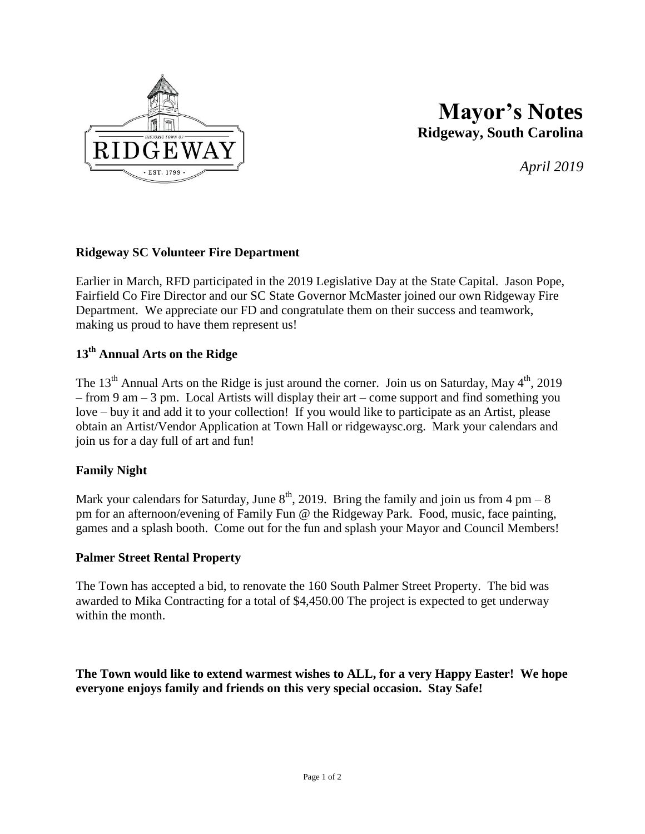

# **Mayor's Notes Ridgeway, South Carolina**

*April 2019*

#### **Ridgeway SC Volunteer Fire Department**

Earlier in March, RFD participated in the 2019 Legislative Day at the State Capital. Jason Pope, Fairfield Co Fire Director and our SC State Governor McMaster joined our own Ridgeway Fire Department. We appreciate our FD and congratulate them on their success and teamwork, making us proud to have them represent us!

## **13th Annual Arts on the Ridge**

The 13<sup>th</sup> Annual Arts on the Ridge is just around the corner. Join us on Saturday, May  $4<sup>th</sup>$ , 2019 – from 9 am – 3 pm. Local Artists will display their art – come support and find something you love – buy it and add it to your collection! If you would like to participate as an Artist, please obtain an Artist/Vendor Application at Town Hall or ridgewaysc.org. Mark your calendars and join us for a day full of art and fun!

## **Family Night**

Mark your calendars for Saturday, June  $8<sup>th</sup>$ , 2019. Bring the family and join us from 4 pm – 8 pm for an afternoon/evening of Family Fun @ the Ridgeway Park. Food, music, face painting, games and a splash booth. Come out for the fun and splash your Mayor and Council Members!

#### **Palmer Street Rental Property**

The Town has accepted a bid, to renovate the 160 South Palmer Street Property. The bid was awarded to Mika Contracting for a total of \$4,450.00 The project is expected to get underway within the month.

**The Town would like to extend warmest wishes to ALL, for a very Happy Easter! We hope everyone enjoys family and friends on this very special occasion. Stay Safe!**